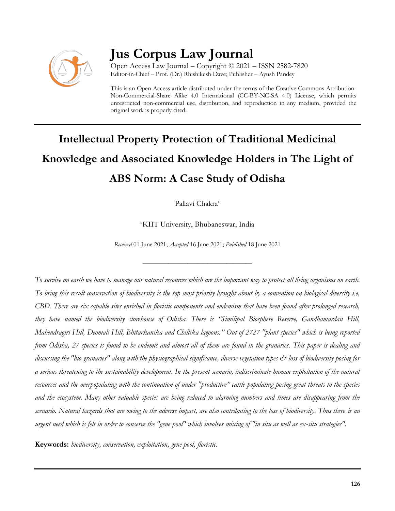

# **Jus Corpus Law Journal**

Open Access Law Journal – Copyright © 2021 – ISSN 2582-7820 Editor-in-Chief – Prof. (Dr.) Rhishikesh Dave; Publisher – Ayush Pandey

This is an Open Access article distributed under the terms of the Creative Commons Attribution-Non-Commercial-Share Alike 4.0 International (CC-BY-NC-SA 4.0) License, which permits unrestricted non-commercial use, distribution, and reproduction in any medium, provided the original work is properly cited.

# **Intellectual Property Protection of Traditional Medicinal Knowledge and Associated Knowledge Holders in The Light of ABS Norm: A Case Study of Odisha**

Pallavi Chakra<sup>a</sup>

<sup>a</sup>KIIT University, Bhubaneswar, India

*Received* 01 June 2021; *Accepted* 16 June 2021; *Published* 18 June 2021

\_\_\_\_\_\_\_\_\_\_\_\_\_\_\_\_\_\_\_\_\_\_\_\_\_\_\_\_\_\_\_\_\_\_

*To survive on earth we have to manage our natural resources which are the important way to protect all living organisms on earth. To bring this result conservation of biodiversity is the top most priority brought about by a convention on biological diversity i.e, CBD. There are six capable sites enriched in floristic components and endemism that have been found after prolonged research, they have named the biodiversity storehouse of Odisha. There is "Similipal Biosphere Reserve, Gandhamardan Hill, Mahendragiri Hill, Deomali Hill, Bhitarkanika and Chillika lagoons.'' Out of 2727 "plant species" which is being reported from Odisha, 27 species is found to be endemic and almost all of them are found in the granaries. This paper is dealing and discussing the "bio-granaries" along with the physiographical significance, diverse vegetation types & loss of biodiversity posing for a serious threatening to the sustainability development. In the present scenario, indiscriminate human exploitation of the natural resources and the overpopulating with the continuation of under "productive" cattle populating posing great threats to the species and the ecosystem. Many other valuable species are being reduced to alarming numbers and times are disappearing from the scenario. Natural hazards that are owing to the adverse impact, are also contributing to the loss of biodiversity. Thus there is an urgent need which is felt in order to conserve the "gene pool" which involves mixing of "in situ as well as ex-situ strategies".*

**Keywords:** *biodiversity, conservation, exploitation, gene pool, floristic.*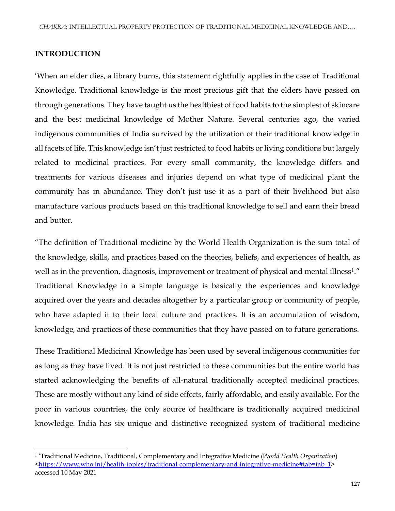# **INTRODUCTION**

'When an elder dies, a library burns, this statement rightfully applies in the case of Traditional Knowledge. Traditional knowledge is the most precious gift that the elders have passed on through generations. They have taught us the healthiest of food habits to the simplest of skincare and the best medicinal knowledge of Mother Nature. Several centuries ago, the varied indigenous communities of India survived by the utilization of their traditional knowledge in all facets of life. This knowledge isn't just restricted to food habits or living conditions but largely related to medicinal practices. For every small community, the knowledge differs and treatments for various diseases and injuries depend on what type of medicinal plant the community has in abundance. They don't just use it as a part of their livelihood but also manufacture various products based on this traditional knowledge to sell and earn their bread and butter.

"The definition of Traditional medicine by the World Health Organization is the sum total of the knowledge, skills, and practices based on the theories, beliefs, and experiences of health, as well as in the prevention, diagnosis, improvement or treatment of physical and mental illness<sup>1</sup> ." Traditional Knowledge in a simple language is basically the experiences and knowledge acquired over the years and decades altogether by a particular group or community of people, who have adapted it to their local culture and practices. It is an accumulation of wisdom, knowledge, and practices of these communities that they have passed on to future generations.

These Traditional Medicinal Knowledge has been used by several indigenous communities for as long as they have lived. It is not just restricted to these communities but the entire world has started acknowledging the benefits of all-natural traditionally accepted medicinal practices. These are mostly without any kind of side effects, fairly affordable, and easily available. For the poor in various countries, the only source of healthcare is traditionally acquired medicinal knowledge. India has six unique and distinctive recognized system of traditional medicine

 $\overline{\phantom{a}}$ <sup>1</sup> 'Traditional Medicine, Traditional, Complementary and Integrative Medicine (*World Health Organization*) [<https://www.who.int/health-topics/traditional-complementary-and-integrative-medicine#tab=tab\\_1>](https://www.who.int/health-topics/traditional-complementary-and-integrative-medicine#tab=tab_1) accessed 10 May 2021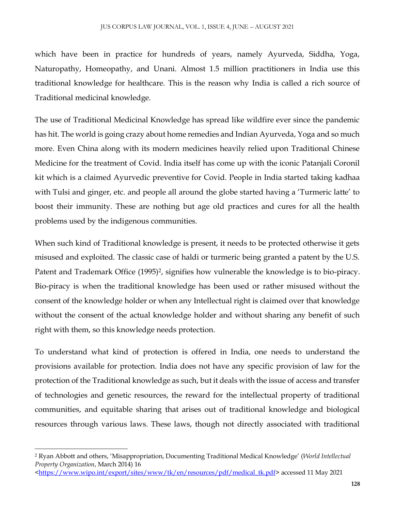which have been in practice for hundreds of years, namely Ayurveda, Siddha, Yoga, Naturopathy, Homeopathy, and Unani. Almost 1.5 million practitioners in India use this traditional knowledge for healthcare. This is the reason why India is called a rich source of Traditional medicinal knowledge.

The use of Traditional Medicinal Knowledge has spread like wildfire ever since the pandemic has hit. The world is going crazy about home remedies and Indian Ayurveda, Yoga and so much more. Even China along with its modern medicines heavily relied upon Traditional Chinese Medicine for the treatment of Covid. India itself has come up with the iconic Patanjali Coronil kit which is a claimed Ayurvedic preventive for Covid. People in India started taking kadhaa with Tulsi and ginger, etc. and people all around the globe started having a 'Turmeric latte' to boost their immunity. These are nothing but age old practices and cures for all the health problems used by the indigenous communities.

When such kind of Traditional knowledge is present, it needs to be protected otherwise it gets misused and exploited. The classic case of haldi or turmeric being granted a patent by the U.S. Patent and Trademark Office (1995)<sup>2</sup>, signifies how vulnerable the knowledge is to bio-piracy. Bio-piracy is when the traditional knowledge has been used or rather misused without the consent of the knowledge holder or when any Intellectual right is claimed over that knowledge without the consent of the actual knowledge holder and without sharing any benefit of such right with them, so this knowledge needs protection.

To understand what kind of protection is offered in India, one needs to understand the provisions available for protection. India does not have any specific provision of law for the protection of the Traditional knowledge as such, but it deals with the issue of access and transfer of technologies and genetic resources, the reward for the intellectual property of traditional communities, and equitable sharing that arises out of traditional knowledge and biological resources through various laws. These laws, though not directly associated with traditional

 $\overline{\phantom{a}}$ 

<sup>2</sup> Ryan Abbott and others, 'Misappropriation, Documenting Traditional Medical Knowledge' (*World Intellectual Property Organization*, March 2014) 16

[<sup>&</sup>lt;https://www.wipo.int/export/sites/www/tk/en/resources/pdf/medical\\_tk.pdf>](https://www.wipo.int/export/sites/www/tk/en/resources/pdf/medical_tk.pdf) accessed 11 May 2021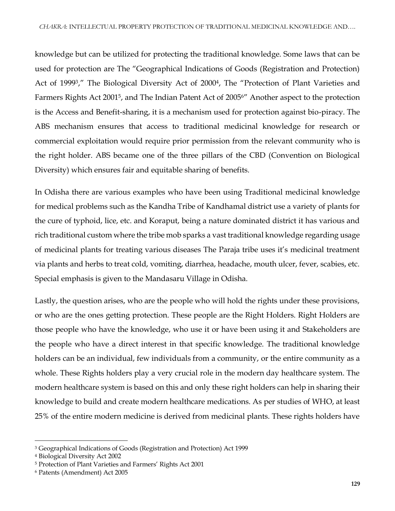knowledge but can be utilized for protecting the traditional knowledge. Some laws that can be used for protection are The "Geographical Indications of Goods (Registration and Protection) Act of 1999<sup>3</sup>," The Biological Diversity Act of 2000<sup>4</sup>, The "Protection of Plant Varieties and Farmers Rights Act 2001<sup>5</sup>, and The Indian Patent Act of 2005<sup>6</sup>" Another aspect to the protection is the Access and Benefit-sharing, it is a mechanism used for protection against bio-piracy. The ABS mechanism ensures that access to traditional medicinal knowledge for research or commercial exploitation would require prior permission from the relevant community who is the right holder. ABS became one of the three pillars of the CBD (Convention on Biological Diversity) which ensures fair and equitable sharing of benefits.

In Odisha there are various examples who have been using Traditional medicinal knowledge for medical problems such as the Kandha Tribe of Kandhamal district use a variety of plants for the cure of typhoid, lice, etc. and Koraput, being a nature dominated district it has various and rich traditional custom where the tribe mob sparks a vast traditional knowledge regarding usage of medicinal plants for treating various diseases The Paraja tribe uses it's medicinal treatment via plants and herbs to treat cold, vomiting, diarrhea, headache, mouth ulcer, fever, scabies, etc. Special emphasis is given to the Mandasaru Village in Odisha.

Lastly, the question arises, who are the people who will hold the rights under these provisions, or who are the ones getting protection. These people are the Right Holders. Right Holders are those people who have the knowledge, who use it or have been using it and Stakeholders are the people who have a direct interest in that specific knowledge. The traditional knowledge holders can be an individual, few individuals from a community, or the entire community as a whole. These Rights holders play a very crucial role in the modern day healthcare system. The modern healthcare system is based on this and only these right holders can help in sharing their knowledge to build and create modern healthcare medications. As per studies of WHO, at least 25% of the entire modern medicine is derived from medicinal plants. These rights holders have

 $\overline{\phantom{a}}$ <sup>3</sup> Geographical Indications of Goods (Registration and Protection) Act 1999

<sup>4</sup> Biological Diversity Act 2002

<sup>5</sup> Protection of Plant Varieties and Farmers' Rights Act 2001

<sup>6</sup> [Patents \(Amendment\) Act 2005](https://www.google.com/url?sa=t&rct=j&q=&esrc=s&source=web&cd=&ved=2ahUKEwiLuIf03fLsAhURbn0KHVoNAeEQFjACegQIAhAC&url=http://www.ipindia.nic.in/writereaddata/Portal/IPOAct/1_69_1_patent_2005.pdf&usg=AOvVaw2ZCU6iWyMq0LGhgQwZMSTw)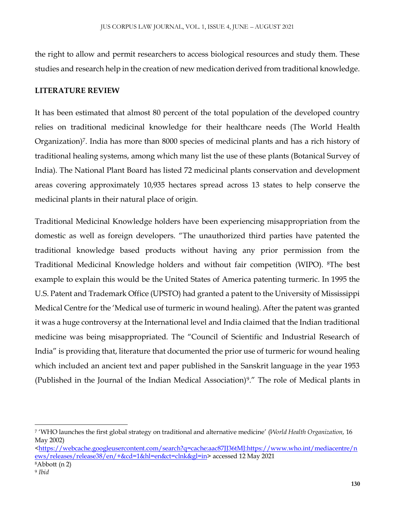the right to allow and permit researchers to access biological resources and study them. These studies and research help in the creation of new medication derived from traditional knowledge.

# **LITERATURE REVIEW**

It has been estimated that almost 80 percent of the total population of the developed country relies on traditional medicinal knowledge for their healthcare needs (The World Health Organization)<sup>7</sup>. India has more than 8000 species of medicinal plants and has a rich history of traditional healing systems, among which many list the use of these plants (Botanical Survey of India). The National Plant Board has listed 72 medicinal plants conservation and development areas covering approximately 10,935 hectares spread across 13 states to help conserve the medicinal plants in their natural place of origin.

Traditional Medicinal Knowledge holders have been experiencing misappropriation from the domestic as well as foreign developers. "The unauthorized third parties have patented the traditional knowledge based products without having any prior permission from the Traditional Medicinal Knowledge holders and without fair competition (WIPO). 8The best example to explain this would be the United States of America patenting turmeric. In 1995 the U.S. Patent and Trademark Office (UPSTO) had granted a patent to the University of Mississippi Medical Centre for the 'Medical use of turmeric in wound healing). After the patent was granted it was a huge controversy at the International level and India claimed that the Indian traditional medicine was being misappropriated. The "Council of Scientific and Industrial Research of India" is providing that, literature that documented the prior use of turmeric for wound healing which included an ancient text and paper published in the Sanskrit language in the year 1953 (Published in the Journal of the Indian Medical Association)<sup>9</sup> ." The role of Medical plants in

 $\overline{a}$ 

<sup>7</sup> 'WHO launches the first global strategy on traditional and alternative medicine' (*World Health Organization*, 16 May 2002)

[<sup>&</sup>lt;https://webcache.googleusercontent.com/search?q=cache:aac87JJ36tMJ:https://www.who.int/mediacentre/n](https://webcache.googleusercontent.com/search?q=cache:aac87JJ36tMJ:https://www.who.int/mediacentre/news/releases/release38/en/+&cd=1&hl=en&ct=clnk&gl=in) [ews/releases/release38/en/+&cd=1&hl=en&ct=clnk&gl=in>](https://webcache.googleusercontent.com/search?q=cache:aac87JJ36tMJ:https://www.who.int/mediacentre/news/releases/release38/en/+&cd=1&hl=en&ct=clnk&gl=in) accessed 12 May 2021 <sup>8</sup>Abbott (n 2)

<sup>9</sup> *Ibid*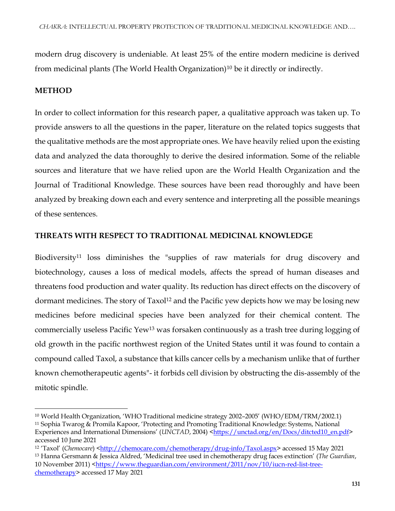modern drug discovery is undeniable. At least 25% of the entire modern medicine is derived from medicinal plants (The World Health Organization)<sup>10</sup> be it directly or indirectly.

# **METHOD**

 $\overline{a}$ 

In order to collect information for this research paper, a qualitative approach was taken up. To provide answers to all the questions in the paper, literature on the related topics suggests that the qualitative methods are the most appropriate ones. We have heavily relied upon the existing data and analyzed the data thoroughly to derive the desired information. Some of the reliable sources and literature that we have relied upon are the World Health Organization and the Journal of Traditional Knowledge. These sources have been read thoroughly and have been analyzed by breaking down each and every sentence and interpreting all the possible meanings of these sentences.

# **THREATS WITH RESPECT TO TRADITIONAL MEDICINAL KNOWLEDGE**

Biodiversity<sup>11</sup> loss diminishes the "supplies of raw materials for drug discovery and biotechnology, causes a loss of medical models, affects the spread of human diseases and threatens food production and water quality. Its reduction has direct effects on the discovery of dormant medicines. The story of Taxol<sup>12</sup> and the Pacific yew depicts how we may be losing new medicines before medicinal species have been analyzed for their chemical content. The commercially useless Pacific Yew<sup>13</sup> was forsaken continuously as a trash tree during logging of old growth in the pacific northwest region of the United States until it was found to contain a compound called Taxol, a substance that kills cancer cells by a mechanism unlike that of further known chemotherapeutic agents"- it forbids cell division by obstructing the dis-assembly of the mitotic spindle.

<sup>13</sup> Hanna Gersmann & Jessica Aldred, 'Medicinal tree used in chemotherapy drug faces extinction' (*The Guardian*, 10 November 2011) [<https://www.theguardian.com/environment/2011/nov/10/iucn-red-list-tree](https://www.theguardian.com/environment/2011/nov/10/iucn-red-list-tree-chemotherapy)[chemotherapy>](https://www.theguardian.com/environment/2011/nov/10/iucn-red-list-tree-chemotherapy) accessed 17 May 2021

<sup>10</sup> World Health Organization, 'WHO Traditional medicine strategy 2002–2005' (WHO/EDM/TRM/2002.1)

<sup>11</sup> Sophia Twarog & Promila Kapoor, 'Protecting and Promoting Traditional Knowledge: Systems, National Experiences and International Dimensions' (*UNCTAD*, 2004) [<https://unctad.org/en/Docs/ditcted10\\_en.pdf>](https://unctad.org/en/Docs/ditcted10_en.pdf) accessed 10 June 2021

<sup>12</sup> 'Taxol' (*Chemocare*) [<http://chemocare.com/chemotherapy/drug-info/Taxol.aspx>](http://chemocare.com/chemotherapy/drug-info/Taxol.aspx) accessed 15 May 2021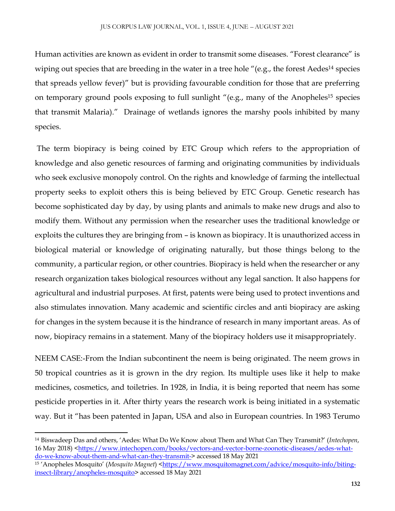Human activities are known as evident in order to transmit some diseases. "Forest clearance" is wiping out species that are breeding in the water in a tree hole "(e.g., the forest Aedes<sup>14</sup> species that spreads yellow fever)" but is providing favourable condition for those that are preferring on temporary ground pools exposing to full sunlight "(e.g., many of the Anopheles<sup>15</sup> species that transmit Malaria)." Drainage of wetlands ignores the marshy pools inhibited by many species.

The term biopiracy is being coined by ETC Group which refers to the appropriation of knowledge and also genetic resources of farming and originating communities by individuals who seek exclusive monopoly control. On the rights and knowledge of farming the intellectual property seeks to exploit others this is being believed by ETC Group. Genetic research has become sophisticated day by day, by using plants and animals to make new drugs and also to modify them. Without any permission when the researcher uses the traditional knowledge or exploits the cultures they are bringing from – is known as biopiracy. It is unauthorized access in biological material or knowledge of originating naturally, but those things belong to the community, a particular region, or other countries. Biopiracy is held when the researcher or any research organization takes biological resources without any legal sanction. It also happens for agricultural and industrial purposes. At first, patents were being used to protect inventions and also stimulates innovation. Many academic and scientific circles and anti biopiracy are asking for changes in the system because it is the hindrance of research in many important areas. As of now, biopiracy remains in a statement. Many of the biopiracy holders use it misappropriately.

NEEM CASE:-From the Indian subcontinent the neem is being originated. The neem grows in 50 tropical countries as it is grown in the dry region. Its multiple uses like it help to make medicines, cosmetics, and toiletries. In 1928, in India, it is being reported that neem has some pesticide properties in it. After thirty years the research work is being initiated in a systematic way. But it "has been patented in Japan, USA and also in European countries. In 1983 Terumo

 $\overline{a}$ 

<sup>14</sup> Biswadeep Das and others, 'Aedes: What Do We Know about Them and What Can They Transmit?' (*Intechopen*, 16 May 2018) [<https://www.intechopen.com/books/vectors-and-vector-borne-zoonotic-diseases/aedes-what](https://www.intechopen.com/books/vectors-and-vector-borne-zoonotic-diseases/aedes-what-do-we-know-about-them-and-what-can-they-transmit-)[do-we-know-about-them-and-what-can-they-transmit->](https://www.intechopen.com/books/vectors-and-vector-borne-zoonotic-diseases/aedes-what-do-we-know-about-them-and-what-can-they-transmit-) accessed 18 May 2021

<sup>&</sup>lt;sup>15</sup> 'Anopheles Mosquito' (*Mosquito Magnet*) [<https://www.mosquitomagnet.com/advice/mosquito-info/biting](https://www.mosquitomagnet.com/advice/mosquito-info/biting-insect-library/anopheles-mosquito)[insect-library/anopheles-mosquito>](https://www.mosquitomagnet.com/advice/mosquito-info/biting-insect-library/anopheles-mosquito) accessed 18 May 2021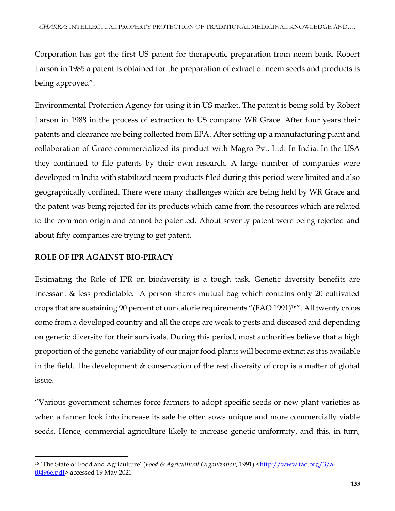Corporation has got the first US patent for therapeutic preparation from neem bank. Robert Larson in 1985 a patent is obtained for the preparation of extract of neem seeds and products is being approved".

Environmental Protection Agency for using it in US market. The patent is being sold by Robert Larson in 1988 in the process of extraction to US company WR Grace. After four years their patents and clearance are being collected from EPA. After setting up a manufacturing plant and collaboration of Grace commercialized its product with Magro Pvt. Ltd. In India. In the USA they continued to file patents by their own research. A large number of companies were developed in India with stabilized neem products filed during this period were limited and also geographically confined. There were many challenges which are being held by WR Grace and the patent was being rejected for its products which came from the resources which are related to the common origin and cannot be patented. About seventy patent were being rejected and about fifty companies are trying to get patent.

# **ROLE OF IPR AGAINST BIO-PIRACY**

 $\overline{\phantom{a}}$ 

Estimating the Role of IPR on biodiversity is a tough task. Genetic diversity benefits are Incessant & less predictable. A person shares mutual bag which contains only 20 cultivated crops that are sustaining 90 percent of our calorie requirements "(FAO 1991)16". All twenty crops come from a developed country and all the crops are weak to pests and diseased and depending on genetic diversity for their survivals. During this period, most authorities believe that a high proportion of the genetic variability of our major food plants will become extinct as it is available in the field. The development & conservation of the rest diversity of crop is a matter of global issue.

"Various government schemes force farmers to adopt specific seeds or new plant varieties as when a farmer look into increase its sale he often sows unique and more commercially viable seeds. Hence, commercial agriculture likely to increase genetic uniformity, and this, in turn,

<sup>&</sup>lt;sup>16</sup> 'The State of Food and Agriculture' (*Food & Agricultural Organization*, 1991) [<http://www.fao.org/3/a](http://www.fao.org/3/a-t0496e.pdf)[t0496e.pdf>](http://www.fao.org/3/a-t0496e.pdf) accessed 19 May 2021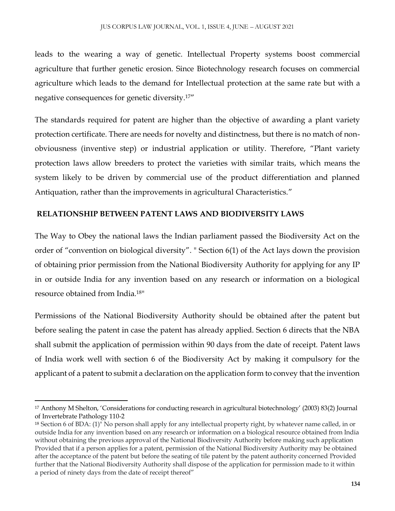leads to the wearing a way of genetic. Intellectual Property systems boost commercial agriculture that further genetic erosion. Since Biotechnology research focuses on commercial agriculture which leads to the demand for Intellectual protection at the same rate but with a negative consequences for genetic diversity.17"

The standards required for patent are higher than the objective of awarding a plant variety protection certificate. There are needs for novelty and distinctness, but there is no match of nonobviousness (inventive step) or industrial application or utility. Therefore, "Plant variety protection laws allow breeders to protect the varieties with similar traits, which means the system likely to be driven by commercial use of the product differentiation and planned Antiquation, rather than the improvements in agricultural Characteristics."

## **RELATIONSHIP BETWEEN PATENT LAWS AND BIODIVERSITY LAWS**

The Way to Obey the national laws the Indian parliament passed the Biodiversity Act on the order of "convention on biological diversity". " Section 6(1) of the Act lays down the provision of obtaining prior permission from the National Biodiversity Authority for applying for any IP in or outside India for any invention based on any research or information on a biological resource obtained from India.<sup>18</sup>"

Permissions of the National Biodiversity Authority should be obtained after the patent but before sealing the patent in case the patent has already applied. Section 6 directs that the NBA shall submit the application of permission within 90 days from the date of receipt. Patent laws of India work well with section 6 of the Biodiversity Act by making it compulsory for the applicant of a patent to submit a declaration on the application form to convey that the invention

 $\overline{\phantom{a}}$ 

<sup>17</sup> Anthony M Shelton, 'Considerations for conducting research in agricultural biotechnology' (2003) 83(2) Journal of Invertebrate Pathology 110-2

<sup>18</sup> Section 6 of BDA: (1)" No person shall apply for any intellectual property right, by whatever name called, in or outside India for any invention based on any research or information on a biological resource obtained from India without obtaining the previous approval of the National Biodiversity Authority before making such application Provided that if a person applies for a patent, permission of the National Biodiversity Authority may be obtained after the acceptance of the patent but before the seating of tile patent by the patent authority concerned Provided further that the National Biodiversity Authority shall dispose of the application for permission made to it within a period of ninety days from the date of receipt thereof"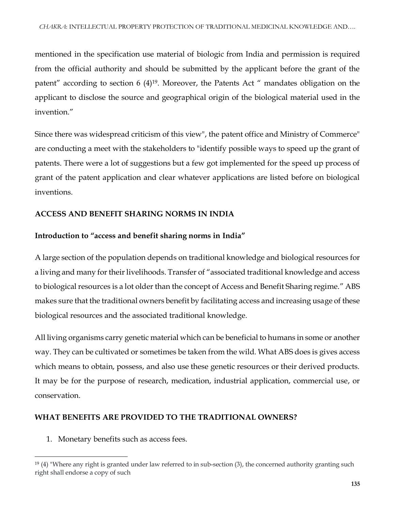mentioned in the specification use material of biologic from India and permission is required from the official authority and should be submitted by the applicant before the grant of the patent" according to section 6 (4)<sup>19</sup>. Moreover, the Patents Act " mandates obligation on the applicant to disclose the source and geographical origin of the biological material used in the invention."

Since there was widespread criticism of this view", the patent office and Ministry of Commerce" are conducting a meet with the stakeholders to "identify possible ways to speed up the grant of patents. There were a lot of suggestions but a few got implemented for the speed up process of grant of the patent application and clear whatever applications are listed before on biological inventions.

# **ACCESS AND BENEFIT SHARING NORMS IN INDIA**

# **Introduction to "access and benefit sharing norms in India"**

A large section of the population depends on traditional knowledge and biological resources for a living and many for their livelihoods. Transfer of "associated traditional knowledge and access to biological resources is a lot older than the concept of Access and Benefit Sharing regime." ABS makes sure that the traditional owners benefit by facilitating access and increasing usage of these biological resources and the associated traditional knowledge.

All living organisms carry genetic material which can be beneficial to humans in some or another way. They can be cultivated or sometimes be taken from the wild. What ABS does is gives access which means to obtain, possess, and also use these genetic resources or their derived products. It may be for the purpose of research, medication, industrial application, commercial use, or conservation.

# **WHAT BENEFITS ARE PROVIDED TO THE TRADITIONAL OWNERS?**

1. Monetary benefits such as access fees.

 $\overline{\phantom{a}}$ <sup>19</sup> (4) "Where any right is granted under law referred to in sub-section (3), the concerned authority granting such right shall endorse a copy of such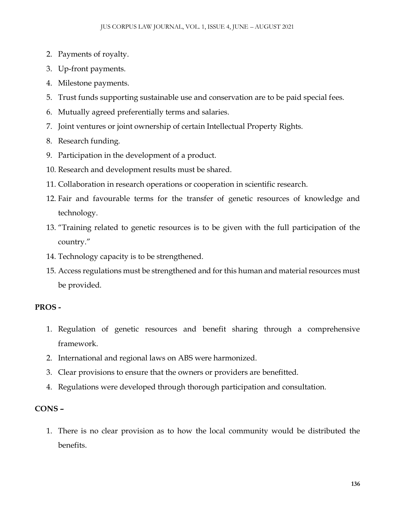- 2. Payments of royalty.
- 3. Up-front payments.
- 4. Milestone payments.
- 5. Trust funds supporting sustainable use and conservation are to be paid special fees.
- 6. Mutually agreed preferentially terms and salaries.
- 7. Joint ventures or joint ownership of certain Intellectual Property Rights.
- 8. Research funding.
- 9. Participation in the development of a product.
- 10. Research and development results must be shared.
- 11. Collaboration in research operations or cooperation in scientific research.
- 12. Fair and favourable terms for the transfer of genetic resources of knowledge and technology.
- 13. "Training related to genetic resources is to be given with the full participation of the country."
- 14. Technology capacity is to be strengthened.
- 15. Access regulations must be strengthened and for this human and material resources must be provided.

## **PROS -**

- 1. Regulation of genetic resources and benefit sharing through a comprehensive framework.
- 2. International and regional laws on ABS were harmonized.
- 3. Clear provisions to ensure that the owners or providers are benefitted.
- 4. Regulations were developed through thorough participation and consultation.

## **CONS –**

1. There is no clear provision as to how the local community would be distributed the benefits.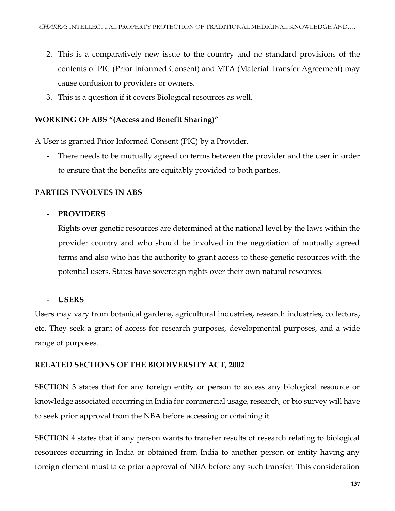- 2. This is a comparatively new issue to the country and no standard provisions of the contents of PIC (Prior Informed Consent) and MTA (Material Transfer Agreement) may cause confusion to providers or owners.
- 3. This is a question if it covers Biological resources as well.

# **WORKING OF ABS "(Access and Benefit Sharing)"**

A User is granted Prior Informed Consent (PIC) by a Provider.

There needs to be mutually agreed on terms between the provider and the user in order to ensure that the benefits are equitably provided to both parties.

# **PARTIES INVOLVES IN ABS**

## - **PROVIDERS**

Rights over genetic resources are determined at the national level by the laws within the provider country and who should be involved in the negotiation of mutually agreed terms and also who has the authority to grant access to these genetic resources with the potential users. States have sovereign rights over their own natural resources.

## - **USERS**

Users may vary from botanical gardens, agricultural industries, research industries, collectors, etc. They seek a grant of access for research purposes, developmental purposes, and a wide range of purposes.

## **RELATED SECTIONS OF THE BIODIVERSITY ACT, 2002**

SECTION 3 states that for any foreign entity or person to access any biological resource or knowledge associated occurring in India for commercial usage, research, or bio survey will have to seek prior approval from the NBA before accessing or obtaining it.

SECTION 4 states that if any person wants to transfer results of research relating to biological resources occurring in India or obtained from India to another person or entity having any foreign element must take prior approval of NBA before any such transfer. This consideration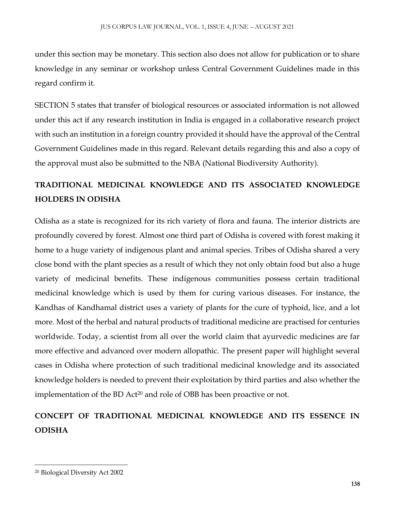under this section may be monetary. This section also does not allow for publication or to share knowledge in any seminar or workshop unless Central Government Guidelines made in this regard confirm it.

SECTION 5 states that transfer of biological resources or associated information is not allowed under this act if any research institution in India is engaged in a collaborative research project with such an institution in a foreign country provided it should have the approval of the Central Government Guidelines made in this regard. Relevant details regarding this and also a copy of the approval must also be submitted to the NBA (National Biodiversity Authority).

# **TRADITIONAL MEDICINAL KNOWLEDGE AND ITS ASSOCIATED KNOWLEDGE HOLDERS IN ODISHA**

Odisha as a state is recognized for its rich variety of flora and fauna. The interior districts are profoundly covered by forest. Almost one third part of Odisha is covered with forest making it home to a huge variety of indigenous plant and animal species. Tribes of Odisha shared a very close bond with the plant species as a result of which they not only obtain food but also a huge variety of medicinal benefits. These indigenous communities possess certain traditional medicinal knowledge which is used by them for curing various diseases. For instance, the Kandhas of Kandhamal district uses a variety of plants for the cure of typhoid, lice, and a lot more. Most of the herbal and natural products of traditional medicine are practised for centuries worldwide. Today, a scientist from all over the world claim that ayurvedic medicines are far more effective and advanced over modern allopathic. The present paper will highlight several cases in Odisha where protection of such traditional medicinal knowledge and its associated knowledge holders is needed to prevent their exploitation by third parties and also whether the implementation of the BD Act<sup>20</sup> and role of OBB has been proactive or not.

# **CONCEPT OF TRADITIONAL MEDICINAL KNOWLEDGE AND ITS ESSENCE IN ODISHA**

 $\overline{\phantom{a}}$ 

<sup>20</sup> Biological Diversity Act 2002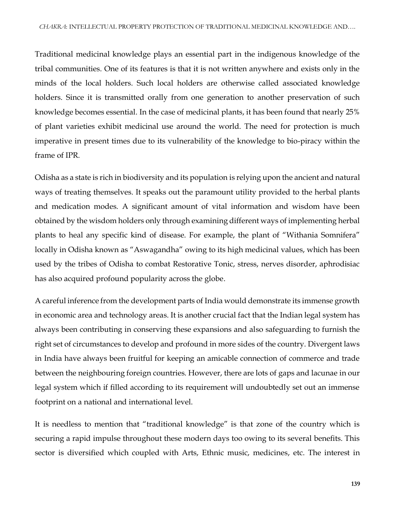Traditional medicinal knowledge plays an essential part in the indigenous knowledge of the tribal communities. One of its features is that it is not written anywhere and exists only in the minds of the local holders. Such local holders are otherwise called associated knowledge holders. Since it is transmitted orally from one generation to another preservation of such knowledge becomes essential. In the case of medicinal plants, it has been found that nearly 25% of plant varieties exhibit medicinal use around the world. The need for protection is much imperative in present times due to its vulnerability of the knowledge to bio-piracy within the frame of IPR.

Odisha as a state is rich in biodiversity and its population is relying upon the ancient and natural ways of treating themselves. It speaks out the paramount utility provided to the herbal plants and medication modes. A significant amount of vital information and wisdom have been obtained by the wisdom holders only through examining different ways of implementing herbal plants to heal any specific kind of disease. For example, the plant of "Withania Somnifera" locally in Odisha known as "Aswagandha" owing to its high medicinal values, which has been used by the tribes of Odisha to combat Restorative Tonic, stress, nerves disorder, aphrodisiac has also acquired profound popularity across the globe.

A careful inference from the development parts of India would demonstrate its immense growth in economic area and technology areas. It is another crucial fact that the Indian legal system has always been contributing in conserving these expansions and also safeguarding to furnish the right set of circumstances to develop and profound in more sides of the country. Divergent laws in India have always been fruitful for keeping an amicable connection of commerce and trade between the neighbouring foreign countries. However, there are lots of gaps and lacunae in our legal system which if filled according to its requirement will undoubtedly set out an immense footprint on a national and international level.

It is needless to mention that "traditional knowledge" is that zone of the country which is securing a rapid impulse throughout these modern days too owing to its several benefits. This sector is diversified which coupled with Arts, Ethnic music, medicines, etc. The interest in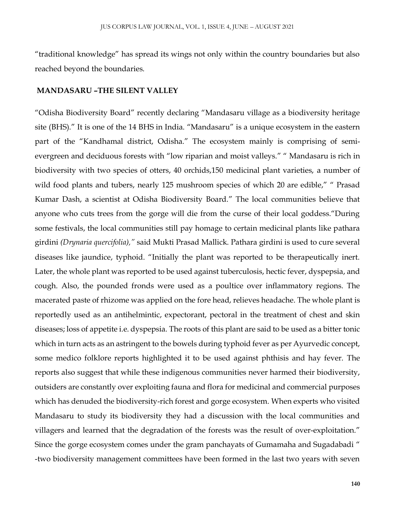"traditional knowledge" has spread its wings not only within the country boundaries but also reached beyond the boundaries.

#### **MANDASARU –THE SILENT VALLEY**

"Odisha Biodiversity Board" recently declaring "Mandasaru village as a biodiversity heritage site (BHS)." It is one of the 14 BHS in India. "Mandasaru" is a unique ecosystem in the eastern part of the "Kandhamal district, Odisha." The ecosystem mainly is comprising of semievergreen and deciduous forests with "low riparian and moist valleys." " Mandasaru is rich in biodiversity with two species of otters, 40 orchids,150 medicinal plant varieties, a number of wild food plants and tubers, nearly 125 mushroom species of which 20 are edible," " Prasad Kumar Dash, a scientist at Odisha Biodiversity Board." The local communities believe that anyone who cuts trees from the gorge will die from the curse of their local goddess."During some festivals, the local communities still pay homage to certain medicinal plants like pathara girdini *(Drynaria quercifolia),"* said Mukti Prasad Mallick. Pathara girdini is used to cure several diseases like jaundice, typhoid. "Initially the plant was reported to be therapeutically inert. Later, the whole plant was reported to be used against tuberculosis, hectic fever, dyspepsia, and cough. Also, the pounded fronds were used as a poultice over inflammatory regions. The macerated paste of rhizome was applied on the fore head, relieves headache. The whole plant is reportedly used as an antihelmintic, expectorant, pectoral in the treatment of chest and skin diseases; loss of appetite i.e. dyspepsia. The roots of this plant are said to be used as a bitter tonic which in turn acts as an astringent to the bowels during typhoid fever as per Ayurvedic concept, some medico folklore reports highlighted it to be used against phthisis and hay fever. The reports also suggest that while these indigenous communities never harmed their biodiversity, outsiders are constantly over exploiting fauna and flora for medicinal and commercial purposes which has denuded the biodiversity-rich forest and gorge ecosystem. When experts who visited Mandasaru to study its biodiversity they had a discussion with the local communities and villagers and learned that the degradation of the forests was the result of over-exploitation." Since the gorge ecosystem comes under the gram panchayats of Gumamaha and Sugadabadi " -two biodiversity management committees have been formed in the last two years with seven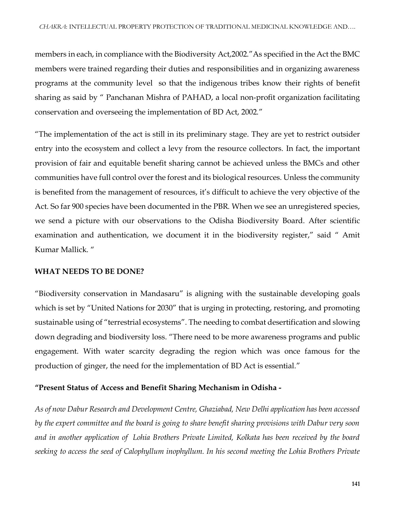members in each, in compliance with the Biodiversity Act,2002."As specified in the Act the BMC members were trained regarding their duties and responsibilities and in organizing awareness programs at the community level so that the indigenous tribes know their rights of benefit sharing as said by " Panchanan Mishra of PAHAD, a local non-profit organization facilitating conservation and overseeing the implementation of BD Act, 2002."

"The implementation of the act is still in its preliminary stage. They are yet to restrict outsider entry into the ecosystem and collect a levy from the resource collectors. In fact, the important provision of fair and equitable benefit sharing cannot be achieved unless the BMCs and other communities have full control over the forest and its biological resources. Unless the community is benefited from the management of resources, it's difficult to achieve the very objective of the Act. So far 900 species have been documented in the PBR. When we see an unregistered species, we send a picture with our observations to the Odisha Biodiversity Board. After scientific examination and authentication, we document it in the biodiversity register," said " Amit Kumar Mallick. "

## **WHAT NEEDS TO BE DONE?**

"Biodiversity conservation in Mandasaru" is aligning with the sustainable developing goals which is set by "United Nations for 2030" that is urging in protecting, restoring, and promoting sustainable using of "terrestrial ecosystems". The needing to combat desertification and slowing down degrading and biodiversity loss. "There need to be more awareness programs and public engagement. With water scarcity degrading the region which was once famous for the production of ginger, the need for the implementation of BD Act is essential."

## **"Present Status of Access and Benefit Sharing Mechanism in Odisha -**

*As of now Dabur Research and Development Centre, Ghaziabad, New Delhi application has been accessed by the expert committee and the board is going to share benefit sharing provisions with Dabur very soon and in another application of Lohia Brothers Private Limited, Kolkata has been received by the board seeking to access the seed of Calophyllum inophyllum. In his second meeting the Lohia Brothers Private*